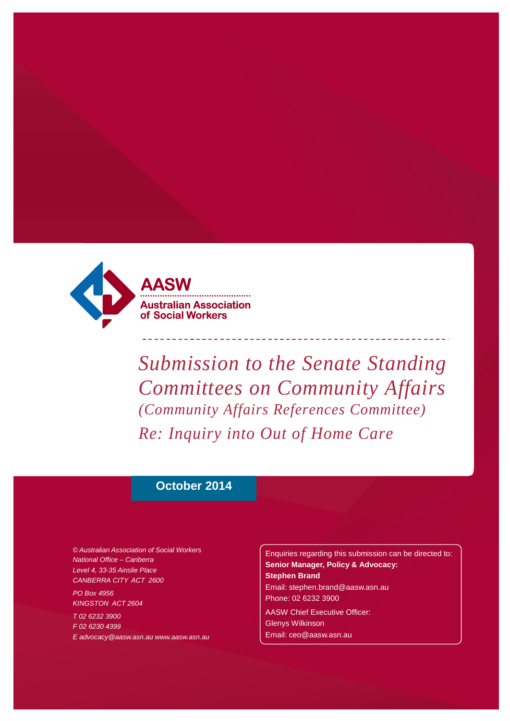

*Submission to the Senate Standing Committees on Community Affairs (Community Affairs References Committee) Re: Inquiry into Out of Home Care*

## **October 2014**

*© Australian Association of Social Workers National Office – Canberra Level 4, 33-35 Ainslie Place CANBERRA CITY ACT 2600*

*PO Box 4956 KINGSTON ACT 2604*

*T 02 6232 3900 F 02 6230 4399 [E advocacy@aasw.asn.au](mailto:advocacy@aasw.asn.au) [www.aasw.asn.au](mailto:advocacy@aasw.asn.au)* Enquiries regarding this submission can be directed to: **Senior Manager, Policy & Advocacy: Stephen Brand** [Email: stephen.brand@aasw.asn.au](mailto:stephen.brand@aasw.asn.au) Phone: 02 6232 3900 AASW Chief Executive Officer: Glenys Wilkinson

[Email: ceo@aasw.asn.au](mailto:ceo@aasw.asn.au)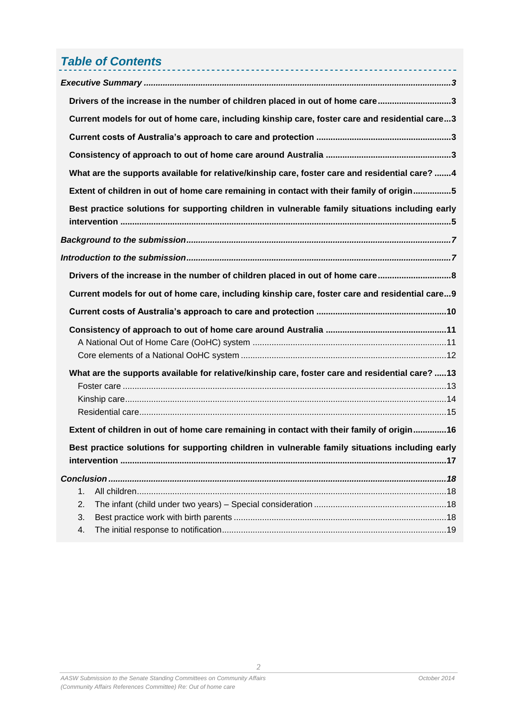# *Table of Contents*

|    | Drivers of the increase in the number of children placed in out of home care3                   |
|----|-------------------------------------------------------------------------------------------------|
|    | Current models for out of home care, including kinship care, foster care and residential care3  |
|    |                                                                                                 |
|    |                                                                                                 |
|    | What are the supports available for relative/kinship care, foster care and residential care? 4  |
|    | Extent of children in out of home care remaining in contact with their family of origin5        |
|    | Best practice solutions for supporting children in vulnerable family situations including early |
|    |                                                                                                 |
|    |                                                                                                 |
|    | Drivers of the increase in the number of children placed in out of home care8                   |
|    |                                                                                                 |
|    | Current models for out of home care, including kinship care, foster care and residential care9  |
|    |                                                                                                 |
|    |                                                                                                 |
|    | What are the supports available for relative/kinship care, foster care and residential care? 13 |
|    | Extent of children in out of home care remaining in contact with their family of origin 16      |
|    | Best practice solutions for supporting children in vulnerable family situations including early |
|    |                                                                                                 |
| 1. |                                                                                                 |
| 2. |                                                                                                 |
| 3. |                                                                                                 |

 $\overline{2}$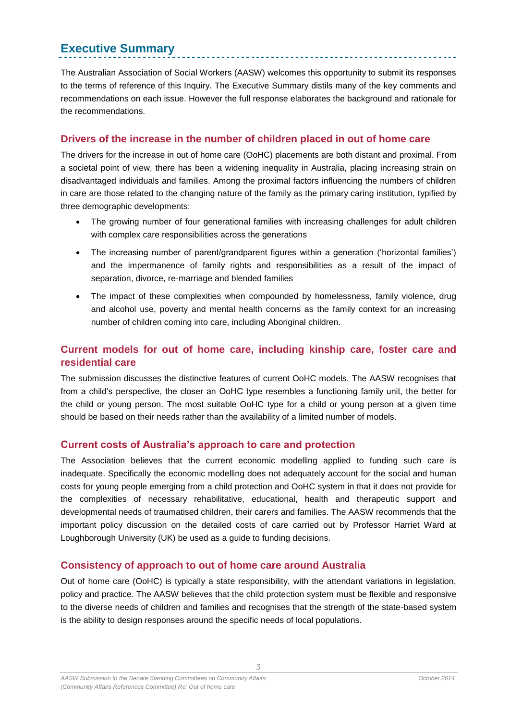## <span id="page-2-0"></span>**Executive Summary**

The Australian Association of Social Workers (AASW) welcomes this opportunity to submit its responses to the terms of reference of this Inquiry. The Executive Summary distils many of the key comments and recommendations on each issue. However the full response elaborates the background and rationale for the recommendations.

## <span id="page-2-1"></span>**Drivers of the increase in the number of children placed in out of home care**

The drivers for the increase in out of home care (OoHC) placements are both distant and proximal. From a societal point of view, there has been a widening inequality in Australia, placing increasing strain on disadvantaged individuals and families. Among the proximal factors influencing the numbers of children in care are those related to the changing nature of the family as the primary caring institution, typified by three demographic developments:

- The growing number of four generational families with increasing challenges for adult children with complex care responsibilities across the generations
- The increasing number of parent/grandparent figures within a generation ('horizontal families') and the impermanence of family rights and responsibilities as a result of the impact of separation, divorce, re-marriage and blended families
- The impact of these complexities when compounded by homelessness, family violence, drug and alcohol use, poverty and mental health concerns as the family context for an increasing number of children coming into care, including Aboriginal children.

## <span id="page-2-2"></span>**Current models for out of home care, including kinship care, foster care and residential care**

The submission discusses the distinctive features of current OoHC models. The AASW recognises that from a child's perspective, the closer an OoHC type resembles a functioning family unit, the better for the child or young person. The most suitable OoHC type for a child or young person at a given time should be based on their needs rather than the availability of a limited number of models.

### <span id="page-2-3"></span>**Current costs of Australia's approach to care and protection**

The Association believes that the current economic modelling applied to funding such care is inadequate. Specifically the economic modelling does not adequately account for the social and human costs for young people emerging from a child protection and OoHC system in that it does not provide for the complexities of necessary rehabilitative, educational, health and therapeutic support and developmental needs of traumatised children, their carers and families. The AASW recommends that the important policy discussion on the detailed costs of care carried out by Professor Harriet Ward at Loughborough University (UK) be used as a guide to funding decisions.

### <span id="page-2-4"></span>**Consistency of approach to out of home care around Australia**

Out of home care (OoHC) is typically a state responsibility, with the attendant variations in legislation, policy and practice. The AASW believes that the child protection system must be flexible and responsive to the diverse needs of children and families and recognises that the strength of the state-based system is the ability to design responses around the specific needs of local populations.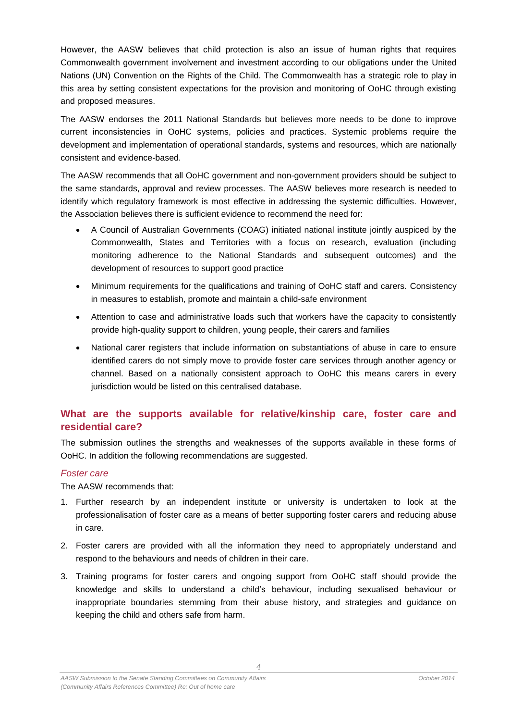However, the AASW believes that child protection is also an issue of human rights that requires Commonwealth government involvement and investment according to our obligations under the United Nations (UN) Convention on the Rights of the Child. The Commonwealth has a strategic role to play in this area by setting consistent expectations for the provision and monitoring of OoHC through existing and proposed measures.

The AASW endorses the 2011 National Standards but believes more needs to be done to improve current inconsistencies in OoHC systems, policies and practices. Systemic problems require the development and implementation of operational standards, systems and resources, which are nationally consistent and evidence-based.

The AASW recommends that all OoHC government and non-government providers should be subject to the same standards, approval and review processes. The AASW believes more research is needed to identify which regulatory framework is most effective in addressing the systemic difficulties. However, the Association believes there is sufficient evidence to recommend the need for:

- A Council of Australian Governments (COAG) initiated national institute jointly auspiced by the Commonwealth, States and Territories with a focus on research, evaluation (including monitoring adherence to the National Standards and subsequent outcomes) and the development of resources to support good practice
- Minimum requirements for the qualifications and training of OoHC staff and carers. Consistency in measures to establish, promote and maintain a child-safe environment
- Attention to case and administrative loads such that workers have the capacity to consistently provide high-quality support to children, young people, their carers and families
- National carer registers that include information on substantiations of abuse in care to ensure identified carers do not simply move to provide foster care services through another agency or channel. Based on a nationally consistent approach to OoHC this means carers in every jurisdiction would be listed on this centralised database.

## <span id="page-3-0"></span>**What are the supports available for relative/kinship care, foster care and residential care?**

The submission outlines the strengths and weaknesses of the supports available in these forms of OoHC. In addition the following recommendations are suggested.

### *Foster care*

The AASW recommends that:

- 1. Further research by an independent institute or university is undertaken to look at the professionalisation of foster care as a means of better supporting foster carers and reducing abuse in care.
- 2. Foster carers are provided with all the information they need to appropriately understand and respond to the behaviours and needs of children in their care.
- 3. Training programs for foster carers and ongoing support from OoHC staff should provide the knowledge and skills to understand a child's behaviour, including sexualised behaviour or inappropriate boundaries stemming from their abuse history, and strategies and guidance on keeping the child and others safe from harm.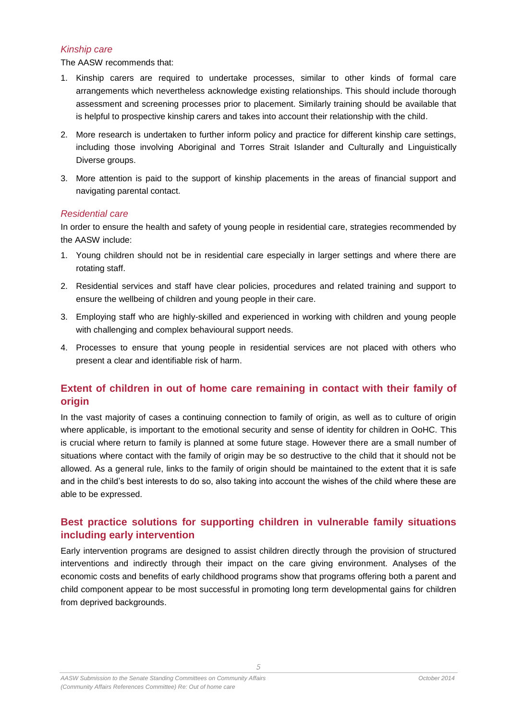### *Kinship care*

The AASW recommends that:

- 1. Kinship carers are required to undertake processes, similar to other kinds of formal care arrangements which nevertheless acknowledge existing relationships. This should include thorough assessment and screening processes prior to placement. Similarly training should be available that is helpful to prospective kinship carers and takes into account their relationship with the child.
- 2. More research is undertaken to further inform policy and practice for different kinship care settings, including those involving Aboriginal and Torres Strait Islander and Culturally and Linguistically Diverse groups.
- 3. More attention is paid to the support of kinship placements in the areas of financial support and navigating parental contact.

#### *Residential care*

In order to ensure the health and safety of young people in residential care, strategies recommended by the AASW include:

- 1. Young children should not be in residential care especially in larger settings and where there are rotating staff.
- 2. Residential services and staff have clear policies, procedures and related training and support to ensure the wellbeing of children and young people in their care.
- 3. Employing staff who are highly-skilled and experienced in working with children and young people with challenging and complex behavioural support needs.
- 4. Processes to ensure that young people in residential services are not placed with others who present a clear and identifiable risk of harm.

## <span id="page-4-0"></span>**Extent of children in out of home care remaining in contact with their family of origin**

In the vast majority of cases a continuing connection to family of origin, as well as to culture of origin where applicable, is important to the emotional security and sense of identity for children in OoHC. This is crucial where return to family is planned at some future stage. However there are a small number of situations where contact with the family of origin may be so destructive to the child that it should not be allowed. As a general rule, links to the family of origin should be maintained to the extent that it is safe and in the child's best interests to do so, also taking into account the wishes of the child where these are able to be expressed.

## <span id="page-4-1"></span>**Best practice solutions for supporting children in vulnerable family situations including early intervention**

Early intervention programs are designed to assist children directly through the provision of structured interventions and indirectly through their impact on the care giving environment. Analyses of the economic costs and benefits of early childhood programs show that programs offering both a parent and child component appear to be most successful in promoting long term developmental gains for children from deprived backgrounds.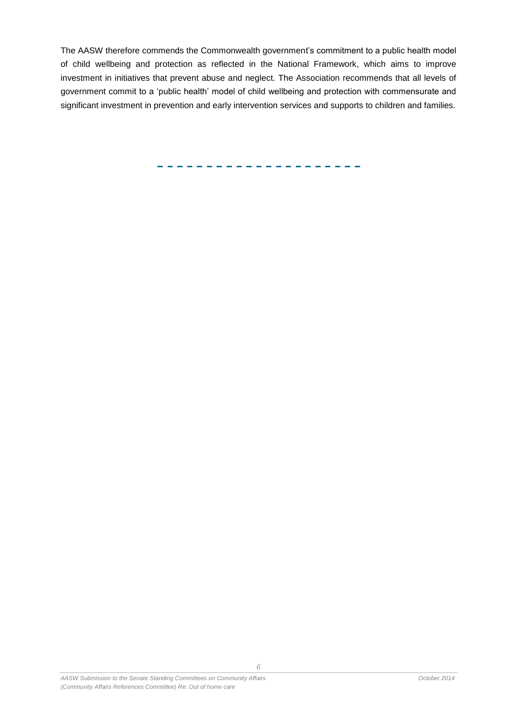The AASW therefore commends the Commonwealth government's commitment to a public health model of child wellbeing and protection as reflected in the National Framework, which aims to improve investment in initiatives that prevent abuse and neglect. The Association recommends that all levels of government commit to a 'public health' model of child wellbeing and protection with commensurate and significant investment in prevention and early intervention services and supports to children and families.

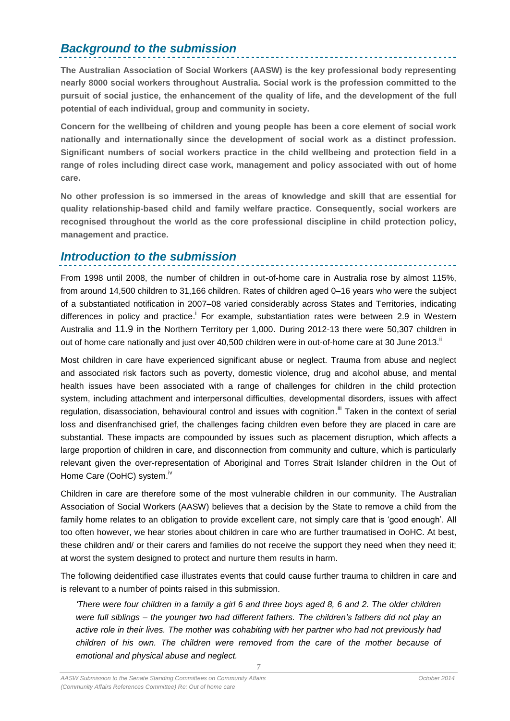## <span id="page-6-0"></span>*Background to the submission*

**The Australian Association of Social Workers (AASW) is the key professional body representing nearly 8000 social workers throughout Australia. Social work is the profession committed to the pursuit of social justice, the enhancement of the quality of life, and the development of the full potential of each individual, group and community in society.**

**Concern for the wellbeing of children and young people has been a core element of social work nationally and internationally since the development of social work as a distinct profession. Significant numbers of social workers practice in the child wellbeing and protection field in a range of roles including direct case work, management and policy associated with out of home care.**

**No other profession is so immersed in the areas of knowledge and skill that are essential for quality relationship-based child and family welfare practice. Consequently, social workers are recognised throughout the world as the core professional discipline in child protection policy, management and practice.**

## <span id="page-6-1"></span>*Introduction to the submission*

From 1998 until 2008, the number of children in out-of-home care in Australia rose by almost 115%, from around 14,500 children to 31,166 children. Rates of children aged 0–16 years who were the subject of a substantiated notification in 2007–08 varied considerably across States and Territories, indicating differences in policy and practice.<sup>i</sup> For example, substantiation rates were between 2.9 in Western Australia and 11.9 in the Northern Territory per 1,000. During 2012-13 there were 50,307 children in out of home care nationally and just over 40,500 children were in out-of-home care at 30 June 2013."

Most children in care have experienced significant abuse or neglect. Trauma from abuse and neglect and associated risk factors such as poverty, domestic violence, drug and alcohol abuse, and mental health issues have been associated with a range of challenges for children in the child protection system, including attachment and interpersonal difficulties, developmental disorders, issues with affect regulation, disassociation, behavioural control and issues with cognition.<sup>iii</sup> Taken in the context of serial loss and disenfranchised grief, the challenges facing children even before they are placed in care are substantial. These impacts are compounded by issues such as placement disruption, which affects a large proportion of children in care, and disconnection from community and culture, which is particularly relevant given the over-representation of Aboriginal and Torres Strait Islander children in the Out of Home Care (OoHC) system.<sup>iv</sup>

Children in care are therefore some of the most vulnerable children in our community. The Australian Association of Social Workers (AASW) believes that a decision by the State to remove a child from the family home relates to an obligation to provide excellent care, not simply care that is 'good enough'. All too often however, we hear stories about children in care who are further traumatised in OoHC. At best, these children and/ or their carers and families do not receive the support they need when they need it; at worst the system designed to protect and nurture them results in harm.

The following deidentified case illustrates events that could cause further trauma to children in care and is relevant to a number of points raised in this submission.

*'There were four children in a family a girl 6 and three boys aged 8, 6 and 2. The older children were full siblings – the younger two had different fathers. The children's fathers did not play an active role in their lives. The mother was cohabiting with her partner who had not previously had children of his own. The children were removed from the care of the mother because of emotional and physical abuse and neglect.*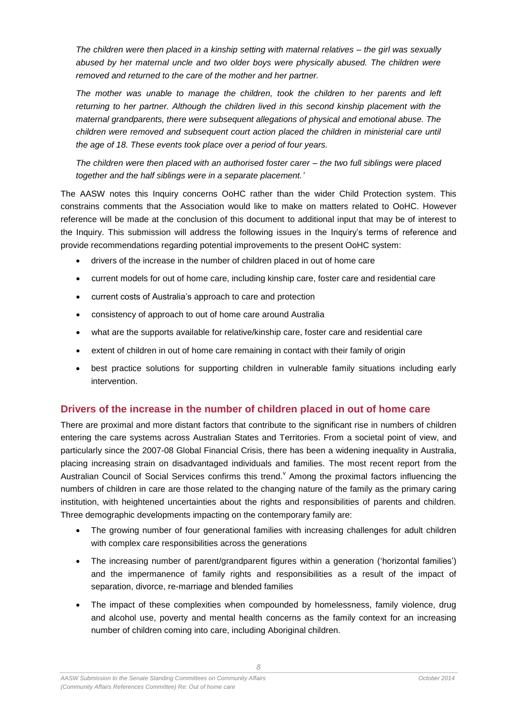*The children were then placed in a kinship setting with maternal relatives – the girl was sexually abused by her maternal uncle and two older boys were physically abused. The children were removed and returned to the care of the mother and her partner.*

*The mother was unable to manage the children, took the children to her parents and left returning to her partner. Although the children lived in this second kinship placement with the maternal grandparents, there were subsequent allegations of physical and emotional abuse. The children were removed and subsequent court action placed the children in ministerial care until the age of 18. These events took place over a period of four years.*

*The children were then placed with an authorised foster carer – the two full siblings were placed together and the half siblings were in a separate placement.'*

The AASW notes this Inquiry concerns OoHC rather than the wider Child Protection system. This constrains comments that the Association would like to make on matters related to OoHC. However reference will be made at the conclusion of this document to additional input that may be of interest to the Inquiry. This submission will address the following issues in the Inquiry's terms of reference and provide recommendations regarding potential improvements to the present OoHC system:

- drivers of the increase in the number of children placed in out of home care
- current models for out of home care, including kinship care, foster care and residential care
- current costs of Australia's approach to care and protection
- consistency of approach to out of home care around Australia
- what are the supports available for relative/kinship care, foster care and residential care
- extent of children in out of home care remaining in contact with their family of origin
- best practice solutions for supporting children in vulnerable family situations including early intervention.

### <span id="page-7-0"></span>**Drivers of the increase in the number of children placed in out of home care**

There are proximal and more distant factors that contribute to the significant rise in numbers of children entering the care systems across Australian States and Territories. From a societal point of view, and particularly since the 2007-08 Global Financial Crisis, there has been a widening inequality in Australia, placing increasing strain on disadvantaged individuals and families. The most recent report from the Australian Council of Social Services confirms this trend. Among the proximal factors influencing the numbers of children in care are those related to the changing nature of the family as the primary caring institution, with heightened uncertainties about the rights and responsibilities of parents and children. Three demographic developments impacting on the contemporary family are:

- The growing number of four generational families with increasing challenges for adult children with complex care responsibilities across the generations
- The increasing number of parent/grandparent figures within a generation ('horizontal families') and the impermanence of family rights and responsibilities as a result of the impact of separation, divorce, re-marriage and blended families
- The impact of these complexities when compounded by homelessness, family violence, drug and alcohol use, poverty and mental health concerns as the family context for an increasing number of children coming into care, including Aboriginal children.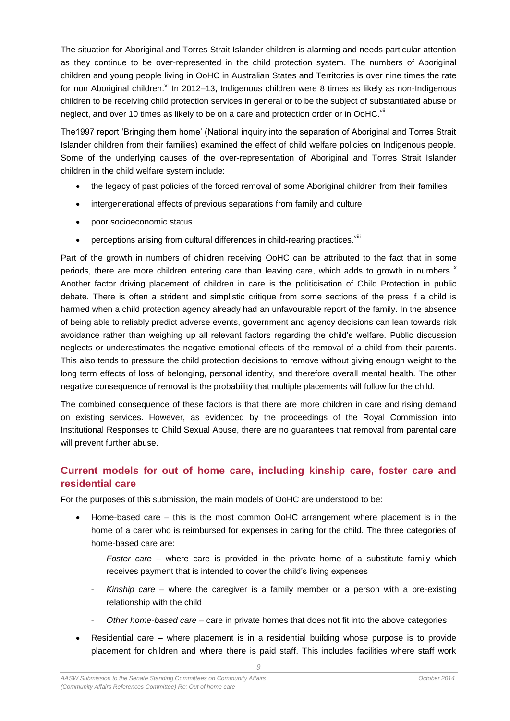The situation for Aboriginal and Torres Strait Islander children is alarming and needs particular attention as they continue to be over-represented in the child protection system. The numbers of Aboriginal children and young people living in OoHC in Australian States and Territories is over nine times the rate for non Aboriginal children. <sup>vi</sup>ln 2012–13, Indigenous children were 8 times as likely as non-Indigenous children to be receiving child protection services in general or to be the subject of substantiated abuse or neglect, and over 10 times as likely to be on a care and protection order or in OoHC.<sup>vii</sup>

The1997 report 'Bringing them home' (National inquiry into the separation of Aboriginal and Torres Strait Islander children from their families) examined the effect of child welfare policies on Indigenous people. Some of the underlying causes of the over-representation of Aboriginal and Torres Strait Islander children in the child welfare system include:

- the legacy of past policies of the forced removal of some Aboriginal children from their families
- intergenerational effects of previous separations from family and culture
- poor socioeconomic status
- perceptions arising from cultural differences in child-rearing practices. Vill

Part of the growth in numbers of children receiving OoHC can be attributed to the fact that in some periods, there are more children entering care than leaving care, which adds to growth in numbers.<sup>ix</sup> Another factor driving placement of children in care is the politicisation of Child Protection in public debate. There is often a strident and simplistic critique from some sections of the press if a child is harmed when a child protection agency already had an unfavourable report of the family. In the absence of being able to reliably predict adverse events, government and agency decisions can lean towards risk avoidance rather than weighing up all relevant factors regarding the child's welfare. Public discussion neglects or underestimates the negative emotional effects of the removal of a child from their parents. This also tends to pressure the child protection decisions to remove without giving enough weight to the long term effects of loss of belonging, personal identity, and therefore overall mental health. The other negative consequence of removal is the probability that multiple placements will follow for the child.

The combined consequence of these factors is that there are more children in care and rising demand on existing services. However, as evidenced by the proceedings of the Royal Commission into Institutional Responses to Child Sexual Abuse, there are no guarantees that removal from parental care will prevent further abuse.

## <span id="page-8-0"></span>**Current models for out of home care, including kinship care, foster care and residential care**

For the purposes of this submission, the main models of OoHC are understood to be:

- Home-based care this is the most common OoHC arrangement where placement is in the home of a carer who is reimbursed for expenses in caring for the child. The three categories of home-based care are:
	- *Foster care*  where care is provided in the private home of a substitute family which receives payment that is intended to cover the child's living expenses
	- *Kinship care* where the caregiver is a family member or a person with a pre-existing relationship with the child
	- *Other home-based care* care in private homes that does not fit into the above categories
- Residential care where placement is in a residential building whose purpose is to provide placement for children and where there is paid staff. This includes facilities where staff work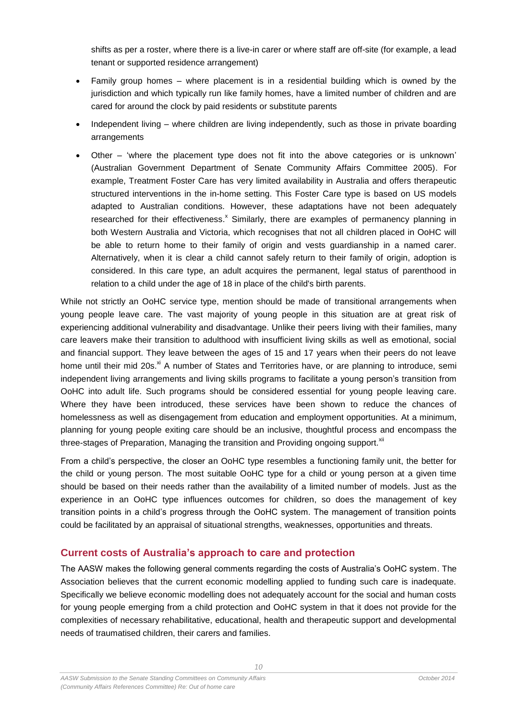shifts as per a roster, where there is a live-in carer or where staff are off-site (for example, a lead tenant or supported residence arrangement)

- Family group homes where placement is in a residential building which is owned by the jurisdiction and which typically run like family homes, have a limited number of children and are cared for around the clock by paid residents or substitute parents
- Independent living where children are living independently, such as those in private boarding arrangements
- Other 'where the placement type does not fit into the above categories or is unknown' (Australian Government Department of Senate Community Affairs Committee 2005). For example, Treatment Foster Care has very limited availability in Australia and offers therapeutic structured interventions in the in-home setting. This Foster Care type is based on US models adapted to Australian conditions. However, these adaptations have not been adequately researched for their effectiveness.<sup>x</sup> Similarly, there are examples of permanency planning in both Western Australia and Victoria, which recognises that not all children placed in OoHC will be able to return home to their family of origin and vests guardianship in a named carer. Alternatively, when it is clear a child cannot safely return to their family of origin, adoption is considered. In this care type, an adult acquires the permanent, legal status of parenthood in relation to a child under the age of 18 in place of the child's birth parents.

While not strictly an OoHC service type, mention should be made of transitional arrangements when young people leave care. The vast majority of young people in this situation are at great risk of experiencing additional vulnerability and disadvantage. Unlike their peers living with their families, many care leavers make their transition to adulthood with insufficient living skills as well as emotional, social and financial support. They leave between the ages of 15 and 17 years when their peers do not leave home until their mid 20s.<sup>xi</sup> A number of States and Territories have, or are planning to introduce, semi independent living arrangements and living skills programs to facilitate a young person's transition from OoHC into adult life. Such programs should be considered essential for young people leaving care. Where they have been introduced, these services have been shown to reduce the chances of homelessness as well as disengagement from education and employment opportunities. At a minimum, planning for young people exiting care should be an inclusive, thoughtful process and encompass the three-stages of Preparation, Managing the transition and Providing ongoing support.<sup>xii</sup>

From a child's perspective, the closer an OoHC type resembles a functioning family unit, the better for the child or young person. The most suitable OoHC type for a child or young person at a given time should be based on their needs rather than the availability of a limited number of models. Just as the experience in an OoHC type influences outcomes for children, so does the management of key transition points in a child's progress through the OoHC system. The management of transition points could be facilitated by an appraisal of situational strengths, weaknesses, opportunities and threats.

### <span id="page-9-0"></span>**Current costs of Australia's approach to care and protection**

The AASW makes the following general comments regarding the costs of Australia's OoHC system. The Association believes that the current economic modelling applied to funding such care is inadequate. Specifically we believe economic modelling does not adequately account for the social and human costs for young people emerging from a child protection and OoHC system in that it does not provide for the complexities of necessary rehabilitative, educational, health and therapeutic support and developmental needs of traumatised children, their carers and families.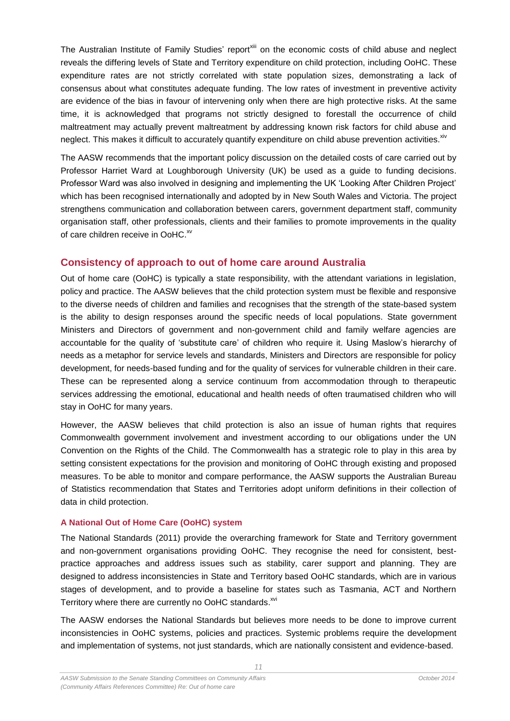The Australian Institute of Family Studies' report<sup>xiii</sup> on the economic costs of child abuse and neglect reveals the differing levels of State and Territory expenditure on child protection, including OoHC. These expenditure rates are not strictly correlated with state population sizes, demonstrating a lack of consensus about what constitutes adequate funding. The low rates of investment in preventive activity are evidence of the bias in favour of intervening only when there are high protective risks. At the same time, it is acknowledged that programs not strictly designed to forestall the occurrence of child maltreatment may actually prevent maltreatment by addressing known risk factors for child abuse and neglect. This makes it difficult to accurately quantify expenditure on child abuse prevention activities. <sup>xiv</sup>

The AASW recommends that the important policy discussion on the detailed costs of care carried out by Professor Harriet Ward at Loughborough University (UK) be used as a guide to funding decisions. Professor Ward was also involved in designing and implementing the UK 'Looking After Children Project' which has been recognised internationally and adopted by in New South Wales and Victoria. The project strengthens communication and collaboration between carers, government department staff, community organisation staff, other professionals, clients and their families to promote improvements in the quality of care children receive in OoHC.<sup>xv</sup>

### <span id="page-10-0"></span>**Consistency of approach to out of home care around Australia**

Out of home care (OoHC) is typically a state responsibility, with the attendant variations in legislation, policy and practice. The AASW believes that the child protection system must be flexible and responsive to the diverse needs of children and families and recognises that the strength of the state-based system is the ability to design responses around the specific needs of local populations. State government Ministers and Directors of government and non-government child and family welfare agencies are accountable for the quality of 'substitute care' of children who require it. Using Maslow's hierarchy of needs as a metaphor for service levels and standards, Ministers and Directors are responsible for policy development, for needs-based funding and for the quality of services for vulnerable children in their care. These can be represented along a service continuum from accommodation through to therapeutic services addressing the emotional, educational and health needs of often traumatised children who will stay in OoHC for many years.

However, the AASW believes that child protection is also an issue of human rights that requires Commonwealth government involvement and investment according to our obligations under the UN Convention on the Rights of the Child. The Commonwealth has a strategic role to play in this area by setting consistent expectations for the provision and monitoring of OoHC through existing and proposed measures. To be able to monitor and compare performance, the AASW supports the Australian Bureau of Statistics recommendation that States and Territories adopt uniform definitions in their collection of data in child protection.

### <span id="page-10-1"></span>**A National Out of Home Care (OoHC) system**

The National Standards (2011) provide the overarching framework for State and Territory government and non-government organisations providing OoHC. They recognise the need for consistent, bestpractice approaches and address issues such as stability, carer support and planning. They are designed to address inconsistencies in State and Territory based OoHC standards, which are in various stages of development, and to provide a baseline for states such as Tasmania, ACT and Northern Territory where there are currently no OoHC standards.<sup>xvi</sup>

The AASW endorses the National Standards but believes more needs to be done to improve current inconsistencies in OoHC systems, policies and practices. Systemic problems require the development and implementation of systems, not just standards, which are nationally consistent and evidence-based.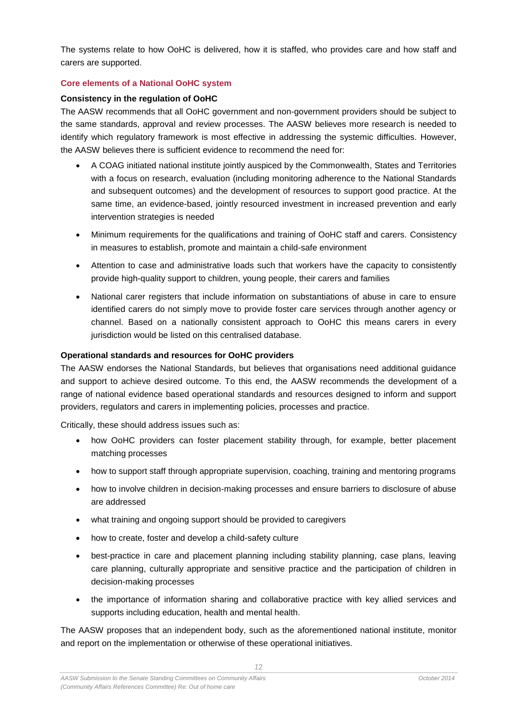The systems relate to how OoHC is delivered, how it is staffed, who provides care and how staff and carers are supported.

#### <span id="page-11-0"></span>**Core elements of a National OoHC system**

#### **Consistency in the regulation of OoHC**

The AASW recommends that all OoHC government and non-government providers should be subject to the same standards, approval and review processes. The AASW believes more research is needed to identify which regulatory framework is most effective in addressing the systemic difficulties. However, the AASW believes there is sufficient evidence to recommend the need for:

- A COAG initiated national institute jointly auspiced by the Commonwealth, States and Territories with a focus on research, evaluation (including monitoring adherence to the National Standards and subsequent outcomes) and the development of resources to support good practice. At the same time, an evidence-based, jointly resourced investment in increased prevention and early intervention strategies is needed
- Minimum requirements for the qualifications and training of OoHC staff and carers. Consistency in measures to establish, promote and maintain a child-safe environment
- Attention to case and administrative loads such that workers have the capacity to consistently provide high-quality support to children, young people, their carers and families
- National carer registers that include information on substantiations of abuse in care to ensure identified carers do not simply move to provide foster care services through another agency or channel. Based on a nationally consistent approach to OoHC this means carers in every jurisdiction would be listed on this centralised database.

#### **Operational standards and resources for OoHC providers**

The AASW endorses the National Standards, but believes that organisations need additional guidance and support to achieve desired outcome. To this end, the AASW recommends the development of a range of national evidence based operational standards and resources designed to inform and support providers, regulators and carers in implementing policies, processes and practice.

Critically, these should address issues such as:

- how OoHC providers can foster placement stability through, for example, better placement matching processes
- how to support staff through appropriate supervision, coaching, training and mentoring programs
- how to involve children in decision-making processes and ensure barriers to disclosure of abuse are addressed
- what training and ongoing support should be provided to caregivers
- how to create, foster and develop a child-safety culture
- best-practice in care and placement planning including stability planning, case plans, leaving care planning, culturally appropriate and sensitive practice and the participation of children in decision-making processes
- the importance of information sharing and collaborative practice with key allied services and supports including education, health and mental health.

The AASW proposes that an independent body, such as the aforementioned national institute, monitor and report on the implementation or otherwise of these operational initiatives.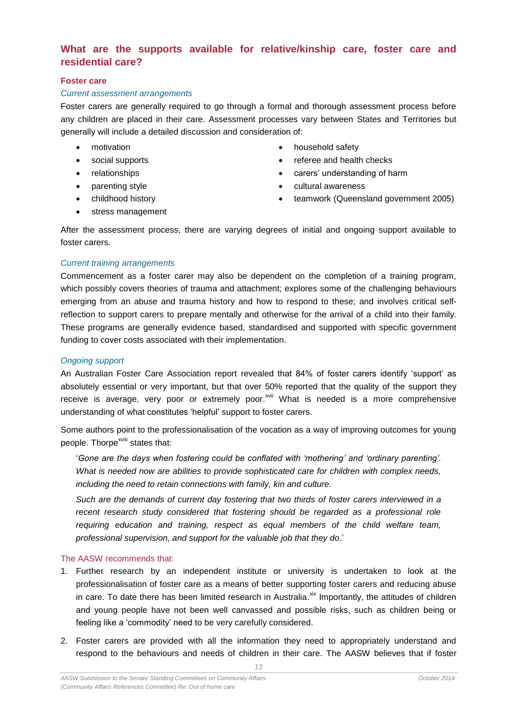## <span id="page-12-0"></span>**What are the supports available for relative/kinship care, foster care and residential care?**

#### <span id="page-12-1"></span>**Foster care**

#### *Current assessment arrangements*

Foster carers are generally required to go through a formal and thorough assessment process before any children are placed in their care. Assessment processes vary between States and Territories but generally will include a detailed discussion and consideration of:

- 
- 
- 
- 
- -
- motivation **household safety household safety**
- social supports **and health checks referee and health checks**
- relationships **carers' understanding of harm**
- parenting style **cultural awareness**
- childhood history **the childhood history teamwork (Queensland government 2005)**
- stress management

After the assessment process, there are varying degrees of initial and ongoing support available to foster carers.

#### *Current training arrangements*

Commencement as a foster carer may also be dependent on the completion of a training program, which possibly covers theories of trauma and attachment; explores some of the challenging behaviours emerging from an abuse and trauma history and how to respond to these; and involves critical selfreflection to support carers to prepare mentally and otherwise for the arrival of a child into their family. These programs are generally evidence based, standardised and supported with specific government funding to cover costs associated with their implementation.

#### *Ongoing support*

An Australian Foster Care Association report revealed that 84% of foster carers identify 'support' as absolutely essential or very important, but that over 50% reported that the quality of the support they receive is average, very poor or extremely poor.<sup>xvii</sup> What is needed is a more comprehensive understanding of what constitutes 'helpful' support to foster carers.

Some authors point to the professionalisation of the vocation as a way of improving outcomes for young people. Thorpe<sup>xviii</sup> states that:

'*Gone are the days when fostering could be conflated with 'mothering' and 'ordinary parenting'. What is needed now are abilities to provide sophisticated care for children with complex needs, including the need to retain connections with family, kin and culture.*

*Such are the demands of current day fostering that two thirds of foster carers interviewed in a*  recent research study considered that fostering should be regarded as a professional role *requiring education and training, respect as equal members of the child welfare team, professional supervision, and support for the valuable job that they do*.'

#### The AASW recommends that:

- 1. Further research by an independent institute or university is undertaken to look at the professionalisation of foster care as a means of better supporting foster carers and reducing abuse in care. To date there has been limited research in Australia.<sup>xix</sup> Importantly, the attitudes of children and young people have not been well canvassed and possible risks, such as children being or feeling like a 'commodity' need to be very carefully considered.
- 2. Foster carers are provided with all the information they need to appropriately understand and respond to the behaviours and needs of children in their care. The AASW believes that if foster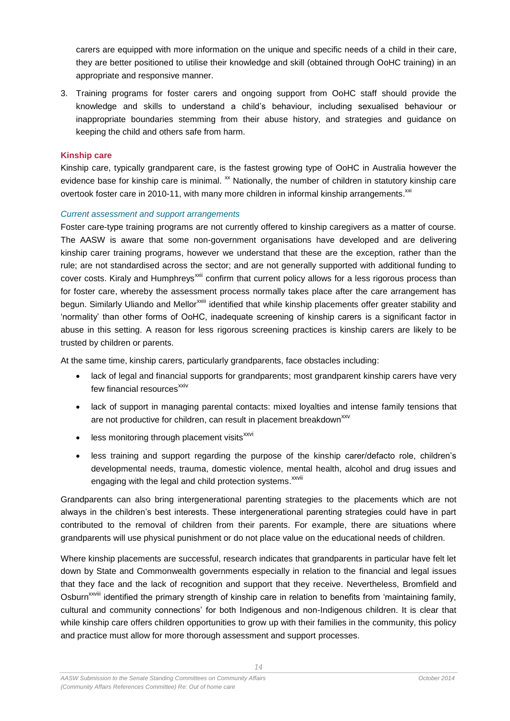carers are equipped with more information on the unique and specific needs of a child in their care, they are better positioned to utilise their knowledge and skill (obtained through OoHC training) in an appropriate and responsive manner.

3. Training programs for foster carers and ongoing support from OoHC staff should provide the knowledge and skills to understand a child's behaviour, including sexualised behaviour or inappropriate boundaries stemming from their abuse history, and strategies and guidance on keeping the child and others safe from harm.

#### <span id="page-13-0"></span>**Kinship care**

Kinship care, typically grandparent care, is the fastest growing type of OoHC in Australia however the evidence base for kinship care is minimal. <sup>xx</sup> Nationally, the number of children in statutory kinship care overtook foster care in 2010-11, with many more children in informal kinship arrangements. $^{xx}$ 

#### *Current assessment and support arrangements*

Foster care-type training programs are not currently offered to kinship caregivers as a matter of course. The AASW is aware that some non-government organisations have developed and are delivering kinship carer training programs, however we understand that these are the exception, rather than the rule; are not standardised across the sector; and are not generally supported with additional funding to cover costs. Kiraly and Humphreys<sup>xxii</sup> confirm that current policy allows for a less rigorous process than for foster care, whereby the assessment process normally takes place after the care arrangement has begun. Similarly Uliando and Mellor<sup>xxiii</sup> identified that while kinship placements offer greater stability and 'normality' than other forms of OoHC, inadequate screening of kinship carers is a significant factor in abuse in this setting. A reason for less rigorous screening practices is kinship carers are likely to be trusted by children or parents.

At the same time, kinship carers, particularly grandparents, face obstacles including:

- lack of legal and financial supports for grandparents; most grandparent kinship carers have very few financial resources<sup>xxiv</sup>
- lack of support in managing parental contacts: mixed loyalties and intense family tensions that are not productive for children, can result in placement breakdown<sup>xxv</sup>
- $\bullet$  less monitoring through placement visits $^{xxxi}$
- less training and support regarding the purpose of the kinship carer/defacto role, children's developmental needs, trauma, domestic violence, mental health, alcohol and drug issues and engaging with the legal and child protection systems. XXVII

Grandparents can also bring intergenerational parenting strategies to the placements which are not always in the children's best interests. These intergenerational parenting strategies could have in part contributed to the removal of children from their parents. For example, there are situations where grandparents will use physical punishment or do not place value on the educational needs of children.

Where kinship placements are successful, research indicates that grandparents in particular have felt let down by State and Commonwealth governments especially in relation to the financial and legal issues that they face and the lack of recognition and support that they receive. Nevertheless, Bromfield and Osburn<sup>xxviii</sup> identified the primary strength of kinship care in relation to benefits from 'maintaining family, cultural and community connections' for both Indigenous and non-Indigenous children. It is clear that while kinship care offers children opportunities to grow up with their families in the community, this policy and practice must allow for more thorough assessment and support processes.

14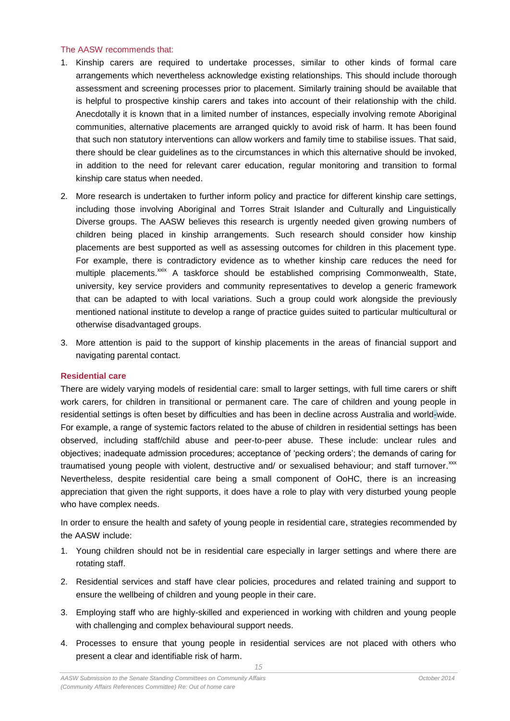#### The AASW recommends that:

- 1. Kinship carers are required to undertake processes, similar to other kinds of formal care arrangements which nevertheless acknowledge existing relationships. This should include thorough assessment and screening processes prior to placement. Similarly training should be available that is helpful to prospective kinship carers and takes into account of their relationship with the child. Anecdotally it is known that in a limited number of instances, especially involving remote Aboriginal communities, alternative placements are arranged quickly to avoid risk of harm. It has been found that such non statutory interventions can allow workers and family time to stabilise issues. That said, there should be clear guidelines as to the circumstances in which this alternative should be invoked, in addition to the need for relevant carer education, regular monitoring and transition to formal kinship care status when needed.
- 2. More research is undertaken to further inform policy and practice for different kinship care settings, including those involving Aboriginal and Torres Strait Islander and Culturally and Linguistically Diverse groups. The AASW believes this research is urgently needed given growing numbers of children being placed in kinship arrangements. Such research should consider how kinship placements are best supported as well as assessing outcomes for children in this placement type. For example, there is contradictory evidence as to whether kinship care reduces the need for multiple placements.<sup>xxix</sup> A taskforce should be established comprising Commonwealth, State, university, key service providers and community representatives to develop a generic framework that can be adapted to with local variations. Such a group could work alongside the previously mentioned national institute to develop a range of practice guides suited to particular multicultural or otherwise disadvantaged groups.
- 3. More attention is paid to the support of kinship placements in the areas of financial support and navigating parental contact.

#### <span id="page-14-0"></span>**Residential care**

There are widely varying models of residential care: small to larger settings, with full time carers or shift work carers, for children in transitional or permanent care. The care of children and young people in residential settings is often beset by difficulties and has been in decline across Australia and world-wide. For example, a range of systemic factors related to the abuse of children in residential settings has been observed, including staff/child abuse and peer-to-peer abuse. These include: unclear rules and objectives; inadequate admission procedures; acceptance of 'pecking orders'; the demands of caring for traumatised young people with violent, destructive and/ or sexualised behaviour; and staff turnover.<sup>xxx</sup> Nevertheless, despite residential care being a small component of OoHC, there is an increasing appreciation that given the right supports, it does have a role to play with very disturbed young people who have complex needs.

In order to ensure the health and safety of young people in residential care, strategies recommended by the AASW include:

- 1. Young children should not be in residential care especially in larger settings and where there are rotating staff.
- 2. Residential services and staff have clear policies, procedures and related training and support to ensure the wellbeing of children and young people in their care.
- 3. Employing staff who are highly-skilled and experienced in working with children and young people with challenging and complex behavioural support needs.
- 4. Processes to ensure that young people in residential services are not placed with others who present a clear and identifiable risk of harm.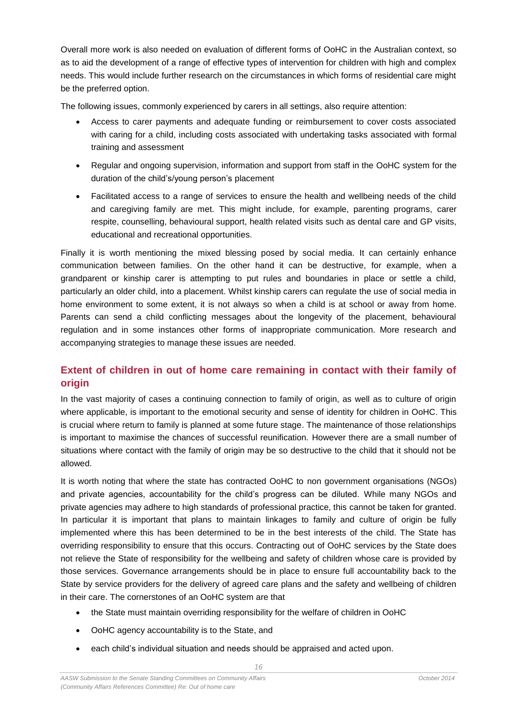Overall more work is also needed on evaluation of different forms of OoHC in the Australian context, so as to aid the development of a range of effective types of intervention for children with high and complex needs. This would include further research on the circumstances in which forms of residential care might be the preferred option.

The following issues, commonly experienced by carers in all settings, also require attention:

- Access to carer payments and adequate funding or reimbursement to cover costs associated with caring for a child, including costs associated with undertaking tasks associated with formal training and assessment
- Regular and ongoing supervision, information and support from staff in the OoHC system for the duration of the child's/young person's placement
- Facilitated access to a range of services to ensure the health and wellbeing needs of the child and caregiving family are met. This might include, for example, parenting programs, carer respite, counselling, behavioural support, health related visits such as dental care and GP visits, educational and recreational opportunities.

Finally it is worth mentioning the mixed blessing posed by social media. It can certainly enhance communication between families. On the other hand it can be destructive, for example, when a grandparent or kinship carer is attempting to put rules and boundaries in place or settle a child, particularly an older child, into a placement. Whilst kinship carers can regulate the use of social media in home environment to some extent, it is not always so when a child is at school or away from home. Parents can send a child conflicting messages about the longevity of the placement, behavioural regulation and in some instances other forms of inappropriate communication. More research and accompanying strategies to manage these issues are needed.

## <span id="page-15-0"></span>**Extent of children in out of home care remaining in contact with their family of origin**

In the vast majority of cases a continuing connection to family of origin, as well as to culture of origin where applicable, is important to the emotional security and sense of identity for children in OoHC. This is crucial where return to family is planned at some future stage. The maintenance of those relationships is important to maximise the chances of successful reunification. However there are a small number of situations where contact with the family of origin may be so destructive to the child that it should not be allowed.

It is worth noting that where the state has contracted OoHC to non government organisations (NGOs) and private agencies, accountability for the child's progress can be diluted. While many NGOs and private agencies may adhere to high standards of professional practice, this cannot be taken for granted. In particular it is important that plans to maintain linkages to family and culture of origin be fully implemented where this has been determined to be in the best interests of the child. The State has overriding responsibility to ensure that this occurs. Contracting out of OoHC services by the State does not relieve the State of responsibility for the wellbeing and safety of children whose care is provided by those services. Governance arrangements should be in place to ensure full accountability back to the State by service providers for the delivery of agreed care plans and the safety and wellbeing of children in their care. The cornerstones of an OoHC system are that

- the State must maintain overriding responsibility for the welfare of children in OoHC
- OoHC agency accountability is to the State, and
- each child's individual situation and needs should be appraised and acted upon.

 $16$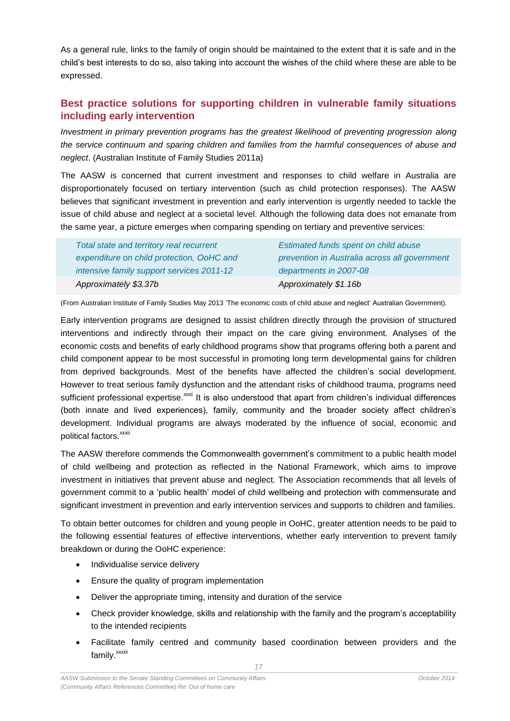As a general rule, links to the family of origin should be maintained to the extent that it is safe and in the child's best interests to do so, also taking into account the wishes of the child where these are able to be expressed.

## <span id="page-16-0"></span>**Best practice solutions for supporting children in vulnerable family situations including early intervention**

*Investment in primary prevention programs has the greatest likelihood of preventing progression along the service continuum and sparing children and families from the harmful consequences of abuse and neglect*. (Australian Institute of Family Studies 2011a)

The AASW is concerned that current investment and responses to child welfare in Australia are disproportionately focused on tertiary intervention (such as child protection responses). The AASW believes that significant investment in prevention and early intervention is urgently needed to tackle the issue of child abuse and neglect at a societal level. Although the following data does not emanate from the same year, a picture emerges when comparing spending on tertiary and preventive services:

| Total state and territory real recurrent  | Estimated funds spent on child abuse          |
|-------------------------------------------|-----------------------------------------------|
| expenditure on child protection, OoHC and | prevention in Australia across all government |
| intensive family support services 2011-12 | departments in 2007-08                        |
| Approximately \$3.37b                     | Approximately \$1.16b                         |

(From Australian Institute of Family Studies May 2013 'The economic costs of child abuse and neglect' Australian Government).

Early intervention programs are designed to assist children directly through the provision of structured interventions and indirectly through their impact on the care giving environment. Analyses of the economic costs and benefits of early childhood programs show that programs offering both a parent and child component appear to be most successful in promoting long term developmental gains for children from deprived backgrounds. Most of the benefits have affected the children's social development. However to treat serious family dysfunction and the attendant risks of childhood trauma, programs need sufficient professional expertise.<sup>xxxi</sup> It is also understood that apart from children's individual differences (both innate and lived experiences), family, community and the broader society affect children's development. Individual programs are always moderated by the influence of social, economic and political factors.<sup>xxxii</sup>

The AASW therefore commends the Commonwealth government's commitment to a public health model of child wellbeing and protection as reflected in the National Framework, which aims to improve investment in initiatives that prevent abuse and neglect. The Association recommends that all levels of government commit to a 'public health' model of child wellbeing and protection with commensurate and significant investment in prevention and early intervention services and supports to children and families.

To obtain better outcomes for children and young people in OoHC, greater attention needs to be paid to the following essential features of effective interventions, whether early intervention to prevent family breakdown or during the OoHC experience:

- Individualise service delivery
- Ensure the quality of program implementation
- Deliver the appropriate timing, intensity and duration of the service
- Check provider knowledge, skills and relationship with the family and the program's acceptability to the intended recipients
- Facilitate family centred and community based coordination between providers and the family.<sup>xxxiii</sup>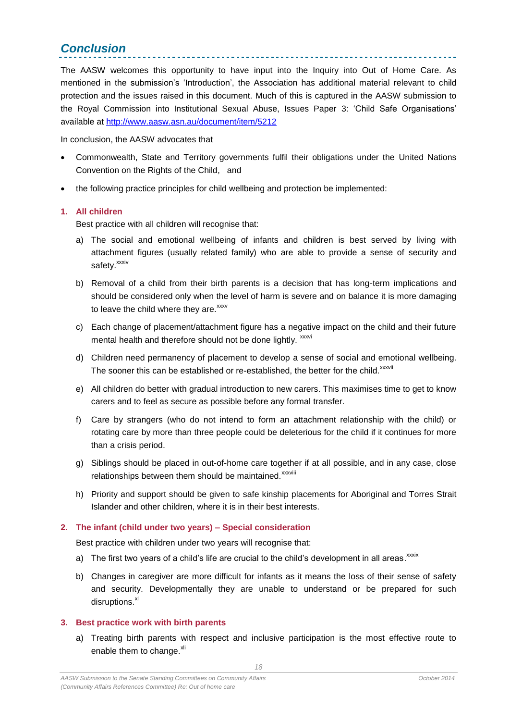## <span id="page-17-0"></span>*Conclusion*

The AASW welcomes this opportunity to have input into the Inquiry into Out of Home Care. As mentioned in the submission's 'Introduction', the Association has additional material relevant to child protection and the issues raised in this document. Much of this is captured in the AASW submission to the Royal Commission into Institutional Sexual Abuse, Issues Paper 3: 'Child Safe Organisations' available at <http://www.aasw.asn.au/document/item/5212>

In conclusion, the AASW advocates that

- Commonwealth, State and Territory governments fulfil their obligations under the United Nations Convention on the Rights of the Child, and
- the following practice principles for child wellbeing and protection be implemented:

#### <span id="page-17-1"></span>**1. All children**

Best practice with all children will recognise that:

- a) The social and emotional wellbeing of infants and children is best served by living with attachment figures (usually related family) who are able to provide a sense of security and safety.<sup>xxxiv</sup>
- b) Removal of a child from their birth parents is a decision that has long-term implications and should be considered only when the level of harm is severe and on balance it is more damaging to leave the child where they are.<sup>xxxv</sup>
- c) Each change of placement/attachment figure has a negative impact on the child and their future mental health and therefore should not be done lightly. xxxvi
- d) Children need permanency of placement to develop a sense of social and emotional wellbeing. The sooner this can be established or re-established, the better for the child.<sup>xxxvii</sup>
- e) All children do better with gradual introduction to new carers. This maximises time to get to know carers and to feel as secure as possible before any formal transfer.
- f) Care by strangers (who do not intend to form an attachment relationship with the child) or rotating care by more than three people could be deleterious for the child if it continues for more than a crisis period.
- g) Siblings should be placed in out-of-home care together if at all possible, and in any case, close relationships between them should be maintained.<sup>xxxviii</sup>
- h) Priority and support should be given to safe kinship placements for Aboriginal and Torres Strait Islander and other children, where it is in their best interests.

### <span id="page-17-2"></span>**2. The infant (child under two years) – Special consideration**

Best practice with children under two years will recognise that:

- a) The first two years of a child's life are crucial to the child's development in all areas.  $\frac{x \times x}{x \times x}$
- b) Changes in caregiver are more difficult for infants as it means the loss of their sense of safety and security. Developmentally they are unable to understand or be prepared for such disruptions. $x$ <sup>xl</sup>

### <span id="page-17-3"></span>**3. Best practice work with birth parents**

a) Treating birth parents with respect and inclusive participation is the most effective route to enable them to change.<sup>xli</sup>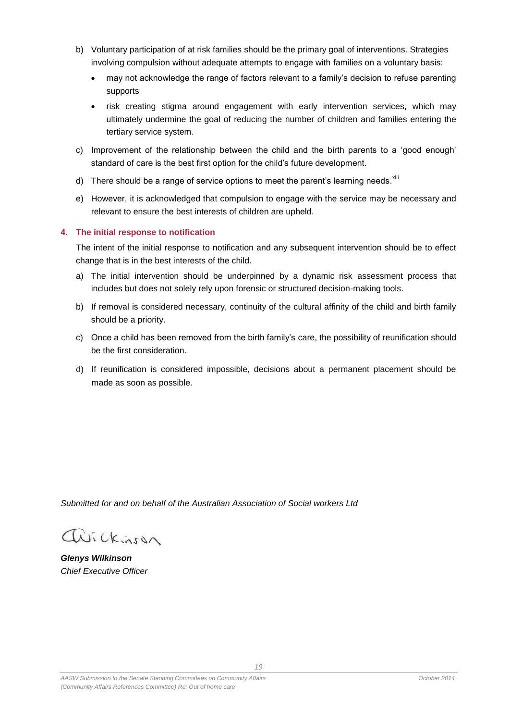- b) Voluntary participation of at risk families should be the primary goal of interventions. Strategies involving compulsion without adequate attempts to engage with families on a voluntary basis:
	- may not acknowledge the range of factors relevant to a family's decision to refuse parenting supports
	- risk creating stigma around engagement with early intervention services, which may ultimately undermine the goal of reducing the number of children and families entering the tertiary service system.
- c) Improvement of the relationship between the child and the birth parents to a 'good enough' standard of care is the best first option for the child's future development.
- d) There should be a range of service options to meet the parent's learning needs. Xii
- e) However, it is acknowledged that compulsion to engage with the service may be necessary and relevant to ensure the best interests of children are upheld.

### <span id="page-18-0"></span>**4. The initial response to notification**

The intent of the initial response to notification and any subsequent intervention should be to effect change that is in the best interests of the child.

- a) The initial intervention should be underpinned by a dynamic risk assessment process that includes but does not solely rely upon forensic or structured decision-making tools.
- b) If removal is considered necessary, continuity of the cultural affinity of the child and birth family should be a priority.
- c) Once a child has been removed from the birth family's care, the possibility of reunification should be the first consideration.
- d) If reunification is considered impossible, decisions about a permanent placement should be made as soon as possible.

*Submitted for and on behalf of the Australian Association of Social workers Ltd*

avickinson

*Glenys Wilkinson Chief Executive Officer*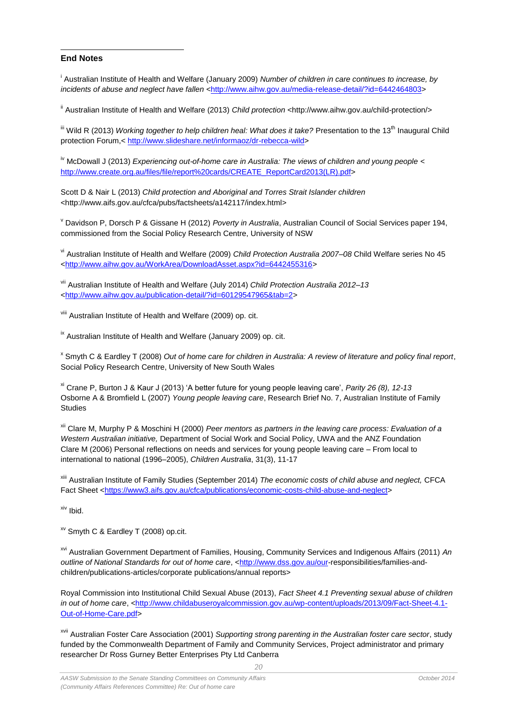#### 1 **End Notes**

i Australian Institute of Health and Welfare (January 2009) *Number of children in care continues to increase, by*  incidents of abuse and neglect have fallen [<http://www.aihw.gov.au/media-release-detail/?id=6442464803>](http://www.aihw.gov.au/media-release-detail/?id=6442464803)

<sup>ii</sup> Australian Institute of Health and Welfare (2013) *Child protection* <http://www.aihw.gov.au/child-protection/>

<sup>iii</sup> Wild R (2013) *Working together to help children heal: What does it take?* Presentation to the 13<sup>th</sup> Inaugural Child protection Forum,< [http://www.slideshare.net/informaoz/dr-rebecca-wild>](http://www.slideshare.net/informaoz/dr-rebecca-wild)

<sup>iv</sup> McDowall J (2013) *Experiencing out-of-home care in Australia: The views of children and young people <* [http://www.create.org.au/files/file/report%20cards/CREATE\\_ReportCard2013\(LR\).pdf>](http://www.create.org.au/files/file/report%20cards/CREATE_ReportCard2013(LR).pdf)

Scott D & Nair L (2013) *Child protection and Aboriginal and Torres Strait Islander children* <http://www.aifs.gov.au/cfca/pubs/factsheets/a142117/index.html>

<sup>v</sup> Davidson P, Dorsch P & Gissane H (2012) *Poverty in Australia*, Australian Council of Social Services paper 194, commissioned from the Social Policy Research Centre, University of NSW

vi Australian Institute of Health and Welfare (2009) *Child Protection Australia 2007–08* Child Welfare series No 45 [<http://www.aihw.gov.au/WorkArea/DownloadAsset.aspx?id=6442455316>](http://www.aihw.gov.au/WorkArea/DownloadAsset.aspx?id=6442455316)

vii Australian Institute of Health and Welfare (July 2014) *Child Protection Australia 2012–13* [<http://www.aihw.gov.au/publication-detail/?id=60129547965&tab=2>](http://www.aihw.gov.au/publication-detail/?id=60129547965&tab=2)

viii Australian Institute of Health and Welfare (2009) op. cit.

<sup>ix</sup> Australian Institute of Health and Welfare (January 2009) op. cit.

x Smyth C & Eardley T (2008) *Out of home care for children in Australia: A review of literature and policy final report*, Social Policy Research Centre, University of New South Wales

xi Crane P, Burton J & Kaur J (2013) 'A better future for young people leaving care', *Parity 26 (8), 12-13* Osborne A & Bromfield L (2007) *Young people leaving care*, Research Brief No. 7, Australian Institute of Family **Studies** 

xii Clare M, Murphy P & Moschini H (2000) *Peer mentors as partners in the leaving care process: Evaluation of a Western Australian initiative,* Department of Social Work and Social Policy, UWA and the ANZ Foundation Clare M (2006) Personal reflections on needs and services for young people leaving care – From local to international to national (1996–2005), *Children Australia*, 31(3), 11-17

xiii Australian Institute of Family Studies (September 2014) *The economic costs of child abuse and neglect,* CFCA Fact Sheet [<https://www3.aifs.gov.au/cfca/publications/economic-costs-child-abuse-and-neglect>](https://www3.aifs.gov.au/cfca/publications/economic-costs-child-abuse-and-neglect)

xiv Ibid.

xv Smyth C & Eardley T (2008) op.cit.

xvi Australian Government Department of Families, Housing, Community Services and Indigenous Affairs (2011) *An outline of National Standards for out of home care*, [<http://www.dss.gov.au/our-](http://www.dss.gov.au/our)responsibilities/families-andchildren/publications-articles/corporate publications/annual reports>

Royal Commission into Institutional Child Sexual Abuse (2013), *Fact Sheet 4.1 Preventing sexual abuse of children in out of home care, [<http://www.childabuseroyalcommission.gov.au/wp-content/uploads/2013/09/Fact-Sheet-4.1-](http://www.childabuseroyalcommission.gov.au/wp-content/uploads/2013/09/Fact-Sheet-4.1-Out-of-Home-Care.pdf)* [Out-of-Home-Care.pdf>](http://www.childabuseroyalcommission.gov.au/wp-content/uploads/2013/09/Fact-Sheet-4.1-Out-of-Home-Care.pdf)

xvii Australian Foster Care Association (2001) *Supporting strong parenting in the Australian foster care sector*, study funded by the Commonwealth Department of Family and Community Services, Project administrator and primary researcher Dr Ross Gurney Better Enterprises Pty Ltd Canberra

 $20$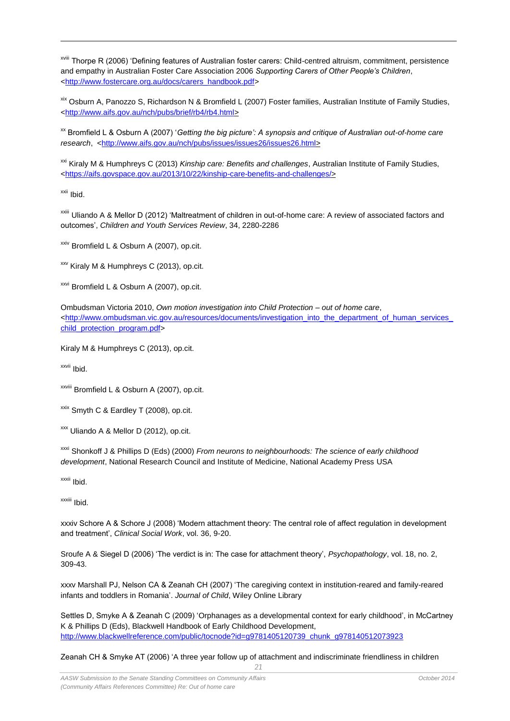xviii Thorpe R (2006) 'Defining features of Australian foster carers: Child-centred altruism, commitment, persistence and empathy in Australian Foster Care Association 2006 *Supporting Carers of Other People's Children*, [<http://www.fostercare.org.au/docs/carers\\_handbook.pdf>](http://www.fostercare.org.au/docs/carers_handbook.pdf)

xix Osburn A, Panozzo S, Richardson N & Bromfield L (2007) Foster families, Australian Institute of Family Studies, [<http://www.aifs.gov.au/nch/pubs/brief/rb4/rb4.html>](http://www.aifs.gov.au/nch/pubs/brief/rb4/rb4.html)

xx Bromfield L & Osburn A (2007) '*Getting the big picture': A synopsis and critique of Australian out-of-home care research*, [<http://www.aifs.gov.au/nch/pubs/issues/issues26/issues26.html>](http://www.aifs.gov.au/nch/pubs/issues/issues26/issues26.html)

xxi Kiraly M & Humphreys C (2013) *Kinship care: Benefits and challenges*, Australian Institute of Family Studies, [<https://aifs.govspace.gov.au/2013/10/22/kinship-care-benefits-and-challenges/>](https://aifs.govspace.gov.au/2013/10/22/kinship-care-benefits-and-challenges/)

xxii Ibid.

1

xxiii Uliando A & Mellor D (2012) 'Maltreatment of children in out-of-home care: A review of associated factors and outcomes', *Children and Youth Services Review*, 34, 2280-2286

 $xxiv}$  Bromfield L & Osburn A (2007), op.cit.

xxv Kiraly M & Humphreys C (2013), op.cit.

 $x^{x}$  Bromfield L & Osburn A (2007), op.cit.

Ombudsman Victoria 2010, *Own motion investigation into Child Protection – out of home care*, [<http://www.ombudsman.vic.gov.au/resources/documents/investigation\\_into\\_the\\_department\\_of\\_human\\_services\\_](http://www.ombudsman.vic.gov.au/resources/documents/investigation_into_the_department_of_human_services_child_protection_program.pdf) [child\\_protection\\_program.pdf>](http://www.ombudsman.vic.gov.au/resources/documents/investigation_into_the_department_of_human_services_child_protection_program.pdf)

Kiraly M & Humphreys C (2013), op.cit.

xxvii Ibid.

xxviii Bromfield L & Osburn A (2007), op.cit.

<sup>xxix</sup> Smyth C & Eardley T (2008), op.cit.

xxx Uliando A & Mellor D (2012), op.cit.

xxxi Shonkoff J & Phillips D (Eds) (2000) *From neurons to neighbourhoods: The science of early childhood development*, National Research Council and Institute of Medicine, National Academy Press USA

xxxii Ibid.

xxxiii Ibid.

xxxiv Schore A & Schore J (2008) 'Modern attachment theory: The central role of affect regulation in development and treatment', *Clinical Social Work*, vol. 36, 9-20.

Sroufe A & Siegel D (2006) 'The verdict is in: The case for attachment theory', *Psychopathology*, vol. 18, no. 2, 309-43.

xxxv [Marshall](http://scholar.google.com.au/citations?hl=en&user=EWBPxZIAAAAJ&oi=sra) PJ, Nelson CA & Zeanah CH (2007) ['The caregiving context in institution-reared and family-reared](http://onlinelibrary.wiley.com/doi/10.1111/j.1469-7610.2006.01694.x/full)  [infants and toddlers in Romania'.](http://onlinelibrary.wiley.com/doi/10.1111/j.1469-7610.2006.01694.x/full) *Journal of Child*, Wiley Online Library

Settles D, Smyke A & Zeanah C (2009) ['Orphanages as a developmental context for early childhood',](http://onlinelibrary.wiley.com/doi/10.1002/9780470757703.ch21/summary) in McCartney K & Phillips D (Eds), Blackwell Handbook of Early Childhood Development, [http://www.blackwellreference.com/public/tocnode?id=g9781405120739\\_chunk\\_g978140512073923](http://www.blackwellreference.com/public/tocnode?id=g9781405120739_chunk_g978140512073923)

21

Zeanah CH & Smyke AT (2006) ['A three year follow up of attachment and indiscriminate friendliness in children](http://onlinelibrary.wiley.com/doi/10.1111/j.1467-8624.1998.tb06162.x/abstract)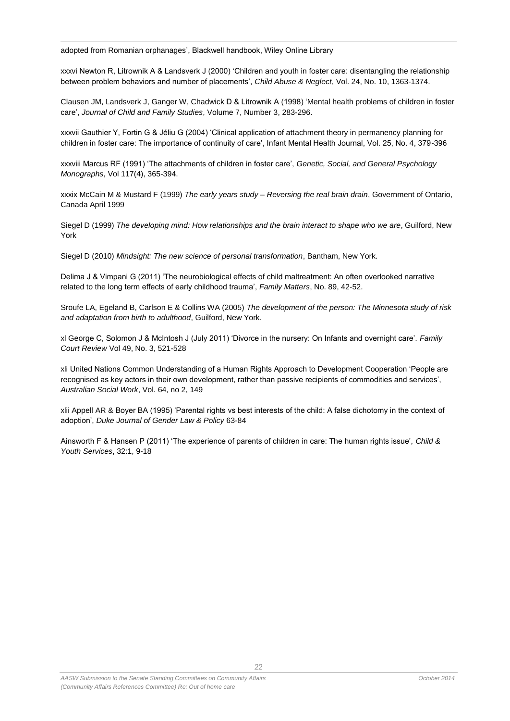1 adopted from Romanian orphanages', Blackwell handbook, Wiley Online Library

xxxvi Newton R, Litrownik A & Landsverk J (2000) 'Children and youth in foster care: disentangling the relationship between problem behaviors and number of placements', *[Child Abuse & Neglect](http://www.sciencedirect.com/science/journal/01452134)*[, Vol. 24, No. 10,](http://www.sciencedirect.com/science/journal/01452134/24/10) 1363-1374.

[Clausen](http://www.springerlink.com/content/?Author=June+M.+Clausen) JM, [Landsverk](http://www.springerlink.com/content/?Author=John+Landsverk) J, [Ganger](http://www.springerlink.com/content/?Author=William+Ganger) W, [Chadwick](http://www.springerlink.com/content/?Author=David+Chadwick) D & Litrownik A (1998) ['Mental health problems of children in foster](http://www.springerlink.com/content/k19m54x547438w15/)  [care',](http://www.springerlink.com/content/k19m54x547438w15/) *[Journal of Child and Family Studies](http://www.springerlink.com/content/1062-1024/)*, [Volume 7, Number 3,](http://www.springerlink.com/content/1062-1024/7/3/) 283-296.

xxxvii Gauthier Y, Fortin G & Jéliu G (2004) 'Clinical application of attachment theory in permanency planning for children in foster care: The importance of continuity of care', Infant Mental Health Journal, Vol. 25, No. 4, 379-396

xxxviii Marcus RF (1991) 'The attachments of children in foster care', *Genetic, Social, and General Psychology Monographs*, Vol 117(4), 365-394.

xxxix McCain M & Mustard F (1999) *The early years study – Reversing the real brain drain*, Government of Ontario, Canada April 1999

Siegel D (1999) *The developing mind: How relationships and the brain interact to shape who we are*, Guilford, New York

Siegel D (2010) *Mindsight: The new science of personal transformation*, Bantham, New York.

Delima J & Vimpani G (2011) 'The neurobiological effects of child maltreatment: An often overlooked narrative related to the long term effects of early childhood trauma', *Family Matters*, No. 89, 42-52.

Sroufe LA, Egeland B, Carlson E & Collins WA (2005) *The development of the person: The Minnesota study of risk and adaptation from birth to adulthood*, Guilford, New York.

xl George C, Solomon J & McIntosh J (July 2011) 'Divorce in the nursery: On Infants and overnight care'. *Family Court Review* Vol 49, No. 3, 521-528

xli United Nations Common Understanding of a Human Rights Approach to Development Cooperation 'People are recognised as key actors in their own development, rather than passive recipients of commodities and services', *Australian Social Work*, Vol. 64, no 2, 149

xlii Appell AR & Boyer BA (1995) 'Parental rights vs best interests of the child: A false dichotomy in the context of adoption', *Duke Journal of Gender Law & Policy* 63-84

Ainsworth F & Hansen P (2011) 'The experience of parents of children in care: The human rights issue', *Child & Youth Services*, 32:1, 9-18